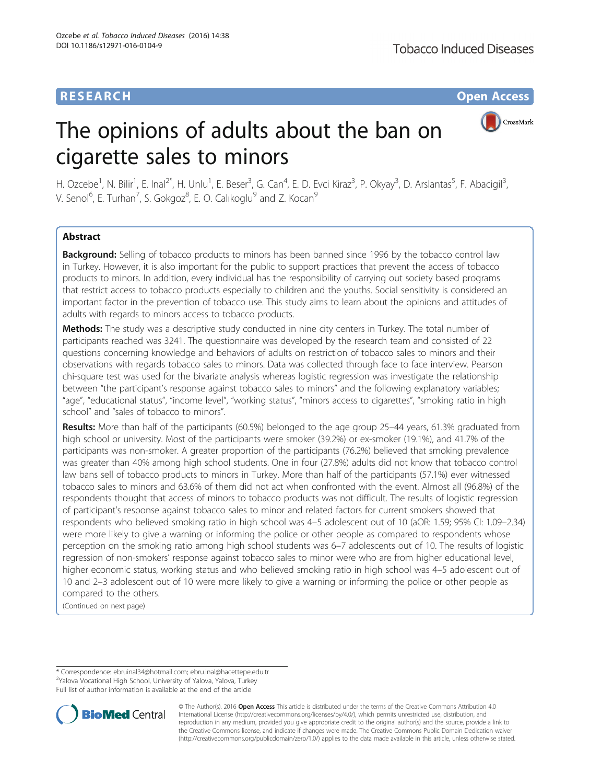CrossMark

# The opinions of adults about the ban on cigarette sales to minors

H. Ozcebe<sup>1</sup>, N. Bilir<sup>1</sup>, E. Inal<sup>2\*</sup>, H. Unlu<sup>1</sup>, E. Beser<sup>3</sup>, G. Can<sup>4</sup>, E. D. Evci Kiraz<sup>3</sup>, P. Okyay<sup>3</sup>, D. Arslantas<sup>5</sup>, F. Abacigil<sup>3</sup> .<br>. V. Senol<sup>6</sup>, E. Turhan<sup>7</sup>, S. Gokgoz<sup>8</sup>, E. O. Calıkoglu<sup>9</sup> and Z. Kocan<sup>9</sup>

## Abstract

**Background:** Selling of tobacco products to minors has been banned since 1996 by the tobacco control law in Turkey. However, it is also important for the public to support practices that prevent the access of tobacco products to minors. In addition, every individual has the responsibility of carrying out society based programs that restrict access to tobacco products especially to children and the youths. Social sensitivity is considered an important factor in the prevention of tobacco use. This study aims to learn about the opinions and attitudes of adults with regards to minors access to tobacco products.

Methods: The study was a descriptive study conducted in nine city centers in Turkey. The total number of participants reached was 3241. The questionnaire was developed by the research team and consisted of 22 questions concerning knowledge and behaviors of adults on restriction of tobacco sales to minors and their observations with regards tobacco sales to minors. Data was collected through face to face interview. Pearson chi-square test was used for the bivariate analysis whereas logistic regression was investigate the relationship between "the participant's response against tobacco sales to minors" and the following explanatory variables; "age", "educational status", "income level", "working status", "minors access to cigarettes", "smoking ratio in high school" and "sales of tobacco to minors".

Results: More than half of the participants (60.5%) belonged to the age group 25–44 years, 61.3% graduated from high school or university. Most of the participants were smoker (39.2%) or ex-smoker (19.1%), and 41.7% of the participants was non-smoker. A greater proportion of the participants (76.2%) believed that smoking prevalence was greater than 40% among high school students. One in four (27.8%) adults did not know that tobacco control law bans sell of tobacco products to minors in Turkey. More than half of the participants (57.1%) ever witnessed tobacco sales to minors and 63.6% of them did not act when confronted with the event. Almost all (96.8%) of the respondents thought that access of minors to tobacco products was not difficult. The results of logistic regression of participant's response against tobacco sales to minor and related factors for current smokers showed that respondents who believed smoking ratio in high school was 4–5 adolescent out of 10 (aOR: 1.59; 95% CI: 1.09–2.34) were more likely to give a warning or informing the police or other people as compared to respondents whose perception on the smoking ratio among high school students was 6–7 adolescents out of 10. The results of logistic regression of non-smokers' response against tobacco sales to minor were who are from higher educational level, higher economic status, working status and who believed smoking ratio in high school was 4–5 adolescent out of 10 and 2–3 adolescent out of 10 were more likely to give a warning or informing the police or other people as compared to the others.

(Continued on next page)

Full list of author information is available at the end of the article



© The Author(s). 2016 **Open Access** This article is distributed under the terms of the Creative Commons Attribution 4.0 International License [\(http://creativecommons.org/licenses/by/4.0/](http://creativecommons.org/licenses/by/4.0/)), which permits unrestricted use, distribution, and reproduction in any medium, provided you give appropriate credit to the original author(s) and the source, provide a link to the Creative Commons license, and indicate if changes were made. The Creative Commons Public Domain Dedication waiver [\(http://creativecommons.org/publicdomain/zero/1.0/](http://creativecommons.org/publicdomain/zero/1.0/)) applies to the data made available in this article, unless otherwise stated.

<sup>\*</sup> Correspondence: [ebruinal34@hotmail.com;](mailto:ebruinal34@hotmail.com) [ebru.inal@hacettepe.edu.tr](mailto:ebru.inal@hacettepe.edu.tr) <sup>2</sup> <sup>2</sup>Yalova Vocational High School, University of Yalova, Yalova, Turkey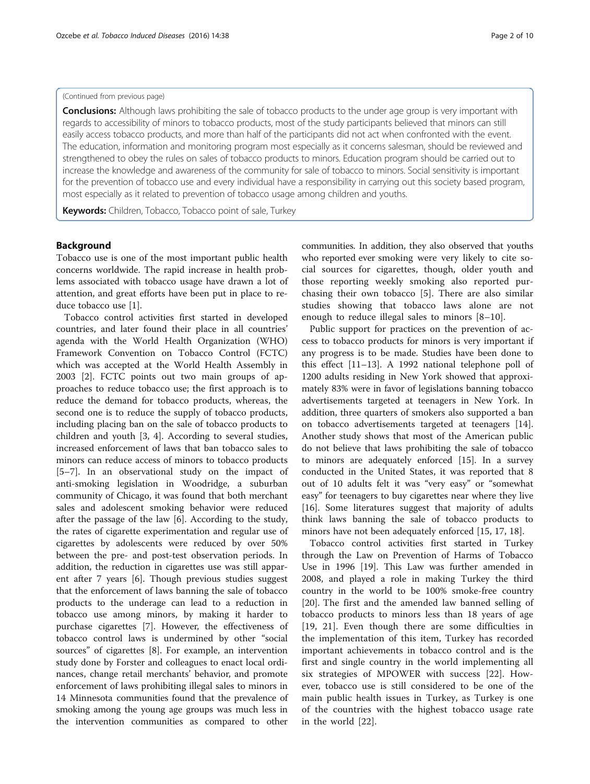#### (Continued from previous page)

**Conclusions:** Although laws prohibiting the sale of tobacco products to the under age group is very important with regards to accessibility of minors to tobacco products, most of the study participants believed that minors can still easily access tobacco products, and more than half of the participants did not act when confronted with the event. The education, information and monitoring program most especially as it concerns salesman, should be reviewed and strengthened to obey the rules on sales of tobacco products to minors. Education program should be carried out to increase the knowledge and awareness of the community for sale of tobacco to minors. Social sensitivity is important for the prevention of tobacco use and every individual have a responsibility in carrying out this society based program, most especially as it related to prevention of tobacco usage among children and youths.

Keywords: Children, Tobacco, Tobacco point of sale, Turkey

#### Background

Tobacco use is one of the most important public health concerns worldwide. The rapid increase in health problems associated with tobacco usage have drawn a lot of attention, and great efforts have been put in place to reduce tobacco use [\[1](#page-9-0)].

Tobacco control activities first started in developed countries, and later found their place in all countries' agenda with the World Health Organization (WHO) Framework Convention on Tobacco Control (FCTC) which was accepted at the World Health Assembly in 2003 [\[2](#page-9-0)]. FCTC points out two main groups of approaches to reduce tobacco use; the first approach is to reduce the demand for tobacco products, whereas, the second one is to reduce the supply of tobacco products, including placing ban on the sale of tobacco products to children and youth [[3, 4\]](#page-9-0). According to several studies, increased enforcement of laws that ban tobacco sales to minors can reduce access of minors to tobacco products [[5](#page-9-0)–[7\]](#page-9-0). In an observational study on the impact of anti-smoking legislation in Woodridge, a suburban community of Chicago, it was found that both merchant sales and adolescent smoking behavior were reduced after the passage of the law [\[6](#page-9-0)]. According to the study, the rates of cigarette experimentation and regular use of cigarettes by adolescents were reduced by over 50% between the pre- and post-test observation periods. In addition, the reduction in cigarettes use was still apparent after 7 years [\[6\]](#page-9-0). Though previous studies suggest that the enforcement of laws banning the sale of tobacco products to the underage can lead to a reduction in tobacco use among minors, by making it harder to purchase cigarettes [[7\]](#page-9-0). However, the effectiveness of tobacco control laws is undermined by other "social sources" of cigarettes [\[8](#page-9-0)]. For example, an intervention study done by Forster and colleagues to enact local ordinances, change retail merchants' behavior, and promote enforcement of laws prohibiting illegal sales to minors in 14 Minnesota communities found that the prevalence of smoking among the young age groups was much less in the intervention communities as compared to other

communities. In addition, they also observed that youths who reported ever smoking were very likely to cite social sources for cigarettes, though, older youth and those reporting weekly smoking also reported purchasing their own tobacco [[5\]](#page-9-0). There are also similar studies showing that tobacco laws alone are not enough to reduce illegal sales to minors [[8](#page-9-0)–[10](#page-9-0)].

Public support for practices on the prevention of access to tobacco products for minors is very important if any progress is to be made. Studies have been done to this effect [[11](#page-9-0)–[13](#page-9-0)]. A 1992 national telephone poll of 1200 adults residing in New York showed that approximately 83% were in favor of legislations banning tobacco advertisements targeted at teenagers in New York. In addition, three quarters of smokers also supported a ban on tobacco advertisements targeted at teenagers [\[14](#page-9-0)]. Another study shows that most of the American public do not believe that laws prohibiting the sale of tobacco to minors are adequately enforced [[15\]](#page-9-0). In a survey conducted in the United States, it was reported that 8 out of 10 adults felt it was "very easy" or "somewhat easy" for teenagers to buy cigarettes near where they live [[16\]](#page-9-0). Some literatures suggest that majority of adults think laws banning the sale of tobacco products to minors have not been adequately enforced [[15](#page-9-0), [17](#page-9-0), [18](#page-9-0)].

Tobacco control activities first started in Turkey through the Law on Prevention of Harms of Tobacco Use in 1996 [[19\]](#page-9-0). This Law was further amended in 2008, and played a role in making Turkey the third country in the world to be 100% smoke-free country [[20\]](#page-9-0). The first and the amended law banned selling of tobacco products to minors less than 18 years of age [[19, 21\]](#page-9-0). Even though there are some difficulties in the implementation of this item, Turkey has recorded important achievements in tobacco control and is the first and single country in the world implementing all six strategies of MPOWER with success [[22\]](#page-9-0). However, tobacco use is still considered to be one of the main public health issues in Turkey, as Turkey is one of the countries with the highest tobacco usage rate in the world [[22\]](#page-9-0).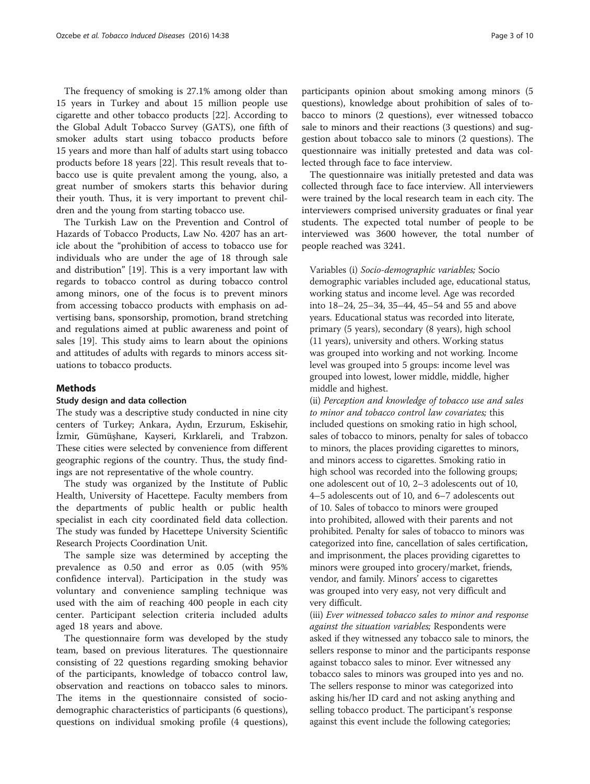The frequency of smoking is 27.1% among older than 15 years in Turkey and about 15 million people use cigarette and other tobacco products [\[22](#page-9-0)]. According to the Global Adult Tobacco Survey (GATS), one fifth of smoker adults start using tobacco products before 15 years and more than half of adults start using tobacco products before 18 years [[22\]](#page-9-0). This result reveals that tobacco use is quite prevalent among the young, also, a great number of smokers starts this behavior during their youth. Thus, it is very important to prevent children and the young from starting tobacco use.

The Turkish Law on the Prevention and Control of Hazards of Tobacco Products, Law No. 4207 has an article about the "prohibition of access to tobacco use for individuals who are under the age of 18 through sale and distribution" [[19\]](#page-9-0). This is a very important law with regards to tobacco control as during tobacco control among minors, one of the focus is to prevent minors from accessing tobacco products with emphasis on advertising bans, sponsorship, promotion, brand stretching and regulations aimed at public awareness and point of sales [[19\]](#page-9-0). This study aims to learn about the opinions and attitudes of adults with regards to minors access situations to tobacco products.

#### Methods

#### Study design and data collection

The study was a descriptive study conducted in nine city centers of Turkey; Ankara, Aydın, Erzurum, Eskisehir, İzmir, Gümüşhane, Kayseri, Kırklareli, and Trabzon. These cities were selected by convenience from different geographic regions of the country. Thus, the study findings are not representative of the whole country.

The study was organized by the Institute of Public Health, University of Hacettepe. Faculty members from the departments of public health or public health specialist in each city coordinated field data collection. The study was funded by Hacettepe University Scientific Research Projects Coordination Unit.

The sample size was determined by accepting the prevalence as 0.50 and error as 0.05 (with 95% confidence interval). Participation in the study was voluntary and convenience sampling technique was used with the aim of reaching 400 people in each city center. Participant selection criteria included adults aged 18 years and above.

The questionnaire form was developed by the study team, based on previous literatures. The questionnaire consisting of 22 questions regarding smoking behavior of the participants, knowledge of tobacco control law, observation and reactions on tobacco sales to minors. The items in the questionnaire consisted of sociodemographic characteristics of participants (6 questions), questions on individual smoking profile (4 questions),

participants opinion about smoking among minors (5 questions), knowledge about prohibition of sales of tobacco to minors (2 questions), ever witnessed tobacco sale to minors and their reactions (3 questions) and suggestion about tobacco sale to minors (2 questions). The questionnaire was initially pretested and data was collected through face to face interview.

The questionnaire was initially pretested and data was collected through face to face interview. All interviewers were trained by the local research team in each city. The interviewers comprised university graduates or final year students. The expected total number of people to be interviewed was 3600 however, the total number of people reached was 3241.

Variables (i) Socio-demographic variables; Socio demographic variables included age, educational status, working status and income level. Age was recorded into 18–24, 25–34, 35–44, 45–54 and 55 and above years. Educational status was recorded into literate, primary (5 years), secondary (8 years), high school (11 years), university and others. Working status was grouped into working and not working. Income level was grouped into 5 groups: income level was grouped into lowest, lower middle, middle, higher middle and highest.

(ii) Perception and knowledge of tobacco use and sales to minor and tobacco control law covariates; this included questions on smoking ratio in high school, sales of tobacco to minors, penalty for sales of tobacco to minors, the places providing cigarettes to minors, and minors access to cigarettes. Smoking ratio in high school was recorded into the following groups; one adolescent out of 10, 2–3 adolescents out of 10, 4–5 adolescents out of 10, and 6–7 adolescents out of 10. Sales of tobacco to minors were grouped into prohibited, allowed with their parents and not prohibited. Penalty for sales of tobacco to minors was categorized into fine, cancellation of sales certification, and imprisonment, the places providing cigarettes to minors were grouped into grocery/market, friends, vendor, and family. Minors' access to cigarettes was grouped into very easy, not very difficult and very difficult.

(iii) Ever witnessed tobacco sales to minor and response against the situation variables; Respondents were asked if they witnessed any tobacco sale to minors, the sellers response to minor and the participants response against tobacco sales to minor. Ever witnessed any tobacco sales to minors was grouped into yes and no. The sellers response to minor was categorized into asking his/her ID card and not asking anything and selling tobacco product. The participant's response against this event include the following categories;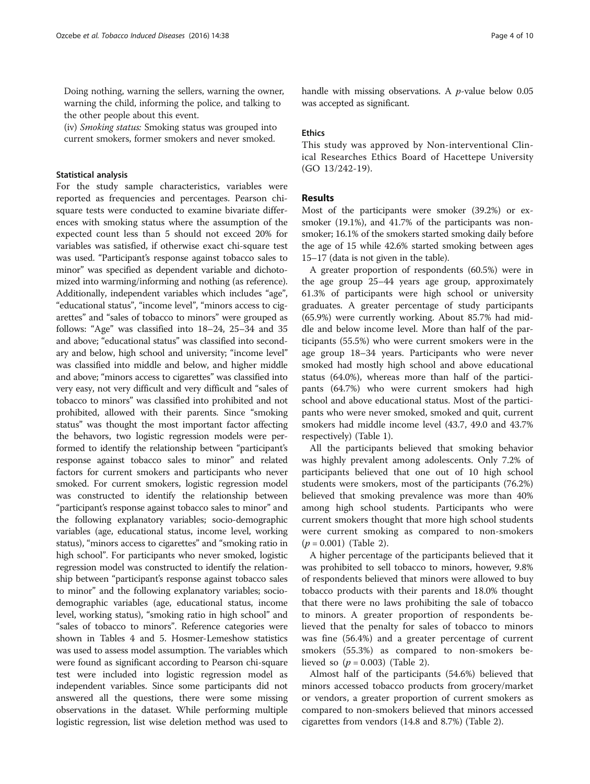Doing nothing, warning the sellers, warning the owner, warning the child, informing the police, and talking to the other people about this event.

(iv) Smoking status: Smoking status was grouped into current smokers, former smokers and never smoked.

#### Statistical analysis

For the study sample characteristics, variables were reported as frequencies and percentages. Pearson chisquare tests were conducted to examine bivariate differences with smoking status where the assumption of the expected count less than 5 should not exceed 20% for variables was satisfied, if otherwise exact chi-square test was used. "Participant's response against tobacco sales to minor" was specified as dependent variable and dichotomized into warming/informing and nothing (as reference). Additionally, independent variables which includes "age", "educational status", "income level", "minors access to cigarettes" and "sales of tobacco to minors" were grouped as follows: "Age" was classified into 18–24, 25–34 and 35 and above; "educational status" was classified into secondary and below, high school and university; "income level" was classified into middle and below, and higher middle and above; "minors access to cigarettes" was classified into very easy, not very difficult and very difficult and "sales of tobacco to minors" was classified into prohibited and not prohibited, allowed with their parents. Since "smoking status" was thought the most important factor affecting the behavors, two logistic regression models were performed to identify the relationship between "participant's response against tobacco sales to minor" and related factors for current smokers and participants who never smoked. For current smokers, logistic regression model was constructed to identify the relationship between "participant's response against tobacco sales to minor" and the following explanatory variables; socio-demographic variables (age, educational status, income level, working status), "minors access to cigarettes" and "smoking ratio in high school". For participants who never smoked, logistic regression model was constructed to identify the relationship between "participant's response against tobacco sales to minor" and the following explanatory variables; sociodemographic variables (age, educational status, income level, working status), "smoking ratio in high school" and "sales of tobacco to minors". Reference categories were shown in Tables [4](#page-7-0) and [5](#page-7-0). Hosmer-Lemeshow statistics was used to assess model assumption. The variables which were found as significant according to Pearson chi-square test were included into logistic regression model as independent variables. Since some participants did not answered all the questions, there were some missing observations in the dataset. While performing multiple logistic regression, list wise deletion method was used to handle with missing observations. A *p*-value below 0.05 was accepted as significant.

#### **Ethics**

This study was approved by Non-interventional Clinical Researches Ethics Board of Hacettepe University (GO 13/242-19).

#### Results

Most of the participants were smoker (39.2%) or exsmoker (19.1%), and 41.7% of the participants was nonsmoker; 16.1% of the smokers started smoking daily before the age of 15 while 42.6% started smoking between ages 15–17 (data is not given in the table).

A greater proportion of respondents (60.5%) were in the age group 25–44 years age group, approximately 61.3% of participants were high school or university graduates. A greater percentage of study participants (65.9%) were currently working. About 85.7% had middle and below income level. More than half of the participants (55.5%) who were current smokers were in the age group 18–34 years. Participants who were never smoked had mostly high school and above educational status (64.0%), whereas more than half of the participants (64.7%) who were current smokers had high school and above educational status. Most of the participants who were never smoked, smoked and quit, current smokers had middle income level (43.7, 49.0 and 43.7% respectively) (Table [1\)](#page-4-0).

All the participants believed that smoking behavior was highly prevalent among adolescents. Only 7.2% of participants believed that one out of 10 high school students were smokers, most of the participants (76.2%) believed that smoking prevalence was more than 40% among high school students. Participants who were current smokers thought that more high school students were current smoking as compared to non-smokers  $(p = 0.001)$  (Table [2](#page-5-0)).

A higher percentage of the participants believed that it was prohibited to sell tobacco to minors, however, 9.8% of respondents believed that minors were allowed to buy tobacco products with their parents and 18.0% thought that there were no laws prohibiting the sale of tobacco to minors. A greater proportion of respondents believed that the penalty for sales of tobacco to minors was fine (56.4%) and a greater percentage of current smokers (55.3%) as compared to non-smokers believed so  $(p = 0.003)$  (Table [2](#page-5-0)).

Almost half of the participants (54.6%) believed that minors accessed tobacco products from grocery/market or vendors, a greater proportion of current smokers as compared to non-smokers believed that minors accessed cigarettes from vendors (14.8 and 8.7%) (Table [2](#page-5-0)).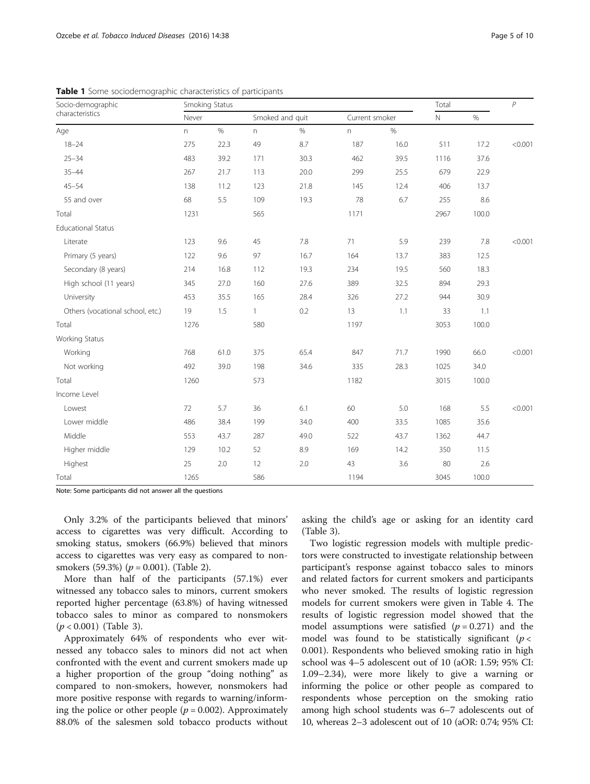<span id="page-4-0"></span>

| Table 1 Some sociodemographic characteristics of participants |                |      |                 |      |                |      |             |       |         |
|---------------------------------------------------------------|----------------|------|-----------------|------|----------------|------|-------------|-------|---------|
| Socio-demographic<br>characteristics<br>Age                   | Smoking Status |      |                 |      |                |      |             | Total |         |
|                                                               | Never          |      | Smoked and quit |      | Current smoker |      | $\mathsf N$ | $\%$  |         |
|                                                               | n              | $\%$ | n.              | %    | $\mathsf{n}$   | $\%$ |             |       |         |
| $18 - 24$                                                     | 275            | 22.3 | 49              | 8.7  | 187            | 16.0 | 511         | 17.2  | < 0.001 |
| $25 - 34$                                                     | 483            | 39.2 | 171             | 30.3 | 462            | 39.5 | 1116        | 37.6  |         |
| $35 - 44$                                                     | 267            | 21.7 | 113             | 20.0 | 299            | 25.5 | 679         | 22.9  |         |
| $45 - 54$                                                     | 138            | 11.2 | 123             | 21.8 | 145            | 12.4 | 406         | 13.7  |         |
| 55 and over                                                   | 68             | 5.5  | 109             | 19.3 | 78             | 6.7  | 255         | 8.6   |         |
| Total                                                         | 1231           |      | 565             |      | 1171           |      | 2967        | 100.0 |         |
| <b>Educational Status</b>                                     |                |      |                 |      |                |      |             |       |         |
| Literate                                                      | 123            | 9.6  | 45              | 7.8  | 71             | 5.9  | 239         | 7.8   | < 0.001 |
| Primary (5 years)                                             | 122            | 9.6  | 97              | 16.7 | 164            | 13.7 | 383         | 12.5  |         |
| Secondary (8 years)                                           | 214            | 16.8 | 112             | 19.3 | 234            | 19.5 | 560         | 18.3  |         |
| High school (11 years)                                        | 345            | 27.0 | 160             | 27.6 | 389            | 32.5 | 894         | 29.3  |         |
| University                                                    | 453            | 35.5 | 165             | 28.4 | 326            | 27.2 | 944         | 30.9  |         |
| Others (vocational school, etc.)                              | 19             | 1.5  | $\mathbf{1}$    | 0.2  | 13             | 1.1  | 33          | 1.1   |         |
| Total                                                         | 1276           |      | 580             |      | 1197           |      | 3053        | 100.0 |         |
| Working Status                                                |                |      |                 |      |                |      |             |       |         |
| Working                                                       | 768            | 61.0 | 375             | 65.4 | 847            | 71.7 | 1990        | 66.0  | < 0.001 |
| Not working                                                   | 492            | 39.0 | 198             | 34.6 | 335            | 28.3 | 1025        | 34.0  |         |
| Total                                                         | 1260           |      | 573             |      | 1182           |      | 3015        | 100.0 |         |
| Income Level                                                  |                |      |                 |      |                |      |             |       |         |
| Lowest                                                        | 72             | 5.7  | 36              | 6.1  | 60             | 5.0  | 168         | 5.5   | < 0.001 |
|                                                               |                |      |                 |      |                |      |             |       |         |

Lower middle 486 38.4 199 34.0 400 33.5 1085 35.6 Middle 553 43.7 287 49.0 522 43.7 1362 44.7 Higher middle 129 10.2 52 8.9 169 14.2 350 11.5 Highest 25 2.0 12 2.0 43 3.6 80 2.6 Total 1265 586 1194 3045 100.0

Table 1 Some sociodemographic characteristics of participants

Note: Some participants did not answer all the questions

Only 3.2% of the participants believed that minors' access to cigarettes was very difficult. According to smoking status, smokers (66.9%) believed that minors access to cigarettes was very easy as compared to nonsmokers (59.3%) ( $p = 0.001$ ). (Table [2\)](#page-5-0).

More than half of the participants (57.1%) ever witnessed any tobacco sales to minors, current smokers reported higher percentage (63.8%) of having witnessed tobacco sales to minor as compared to nonsmokers  $(p < 0.001)$  (Table [3\)](#page-6-0).

Approximately 64% of respondents who ever witnessed any tobacco sales to minors did not act when confronted with the event and current smokers made up a higher proportion of the group "doing nothing" as compared to non-smokers, however, nonsmokers had more positive response with regards to warning/informing the police or other people ( $p = 0.002$ ). Approximately 88.0% of the salesmen sold tobacco products without asking the child's age or asking for an identity card (Table [3\)](#page-6-0).

Two logistic regression models with multiple predictors were constructed to investigate relationship between participant's response against tobacco sales to minors and related factors for current smokers and participants who never smoked. The results of logistic regression models for current smokers were given in Table [4](#page-7-0). The results of logistic regression model showed that the model assumptions were satisfied  $(p = 0.271)$  and the model was found to be statistically significant ( $p <$ 0.001). Respondents who believed smoking ratio in high school was 4–5 adolescent out of 10 (aOR: 1.59; 95% CI: 1.09–2.34), were more likely to give a warning or informing the police or other people as compared to respondents whose perception on the smoking ratio among high school students was 6–7 adolescents out of 10, whereas 2–3 adolescent out of 10 (aOR: 0.74; 95% CI: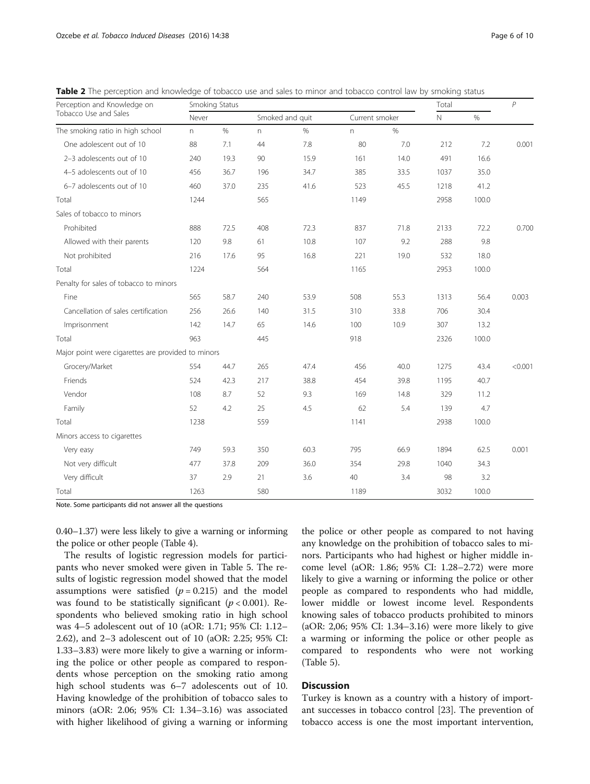| Perception and Knowledge on                        | Smoking Status |      |                 |      |                |      |              | Total |         |  |
|----------------------------------------------------|----------------|------|-----------------|------|----------------|------|--------------|-------|---------|--|
| Tobacco Use and Sales                              | Never          |      | Smoked and quit |      | Current smoker |      | $\mathsf{N}$ | $\%$  |         |  |
| The smoking ratio in high school                   | n              | $\%$ | n               | $\%$ | n              | $\%$ |              |       |         |  |
| One adolescent out of 10                           | 88             | 7.1  | 44              | 7.8  | 80             | 7.0  | 212          | 7.2   | 0.001   |  |
| 2-3 adolescents out of 10                          | 240            | 19.3 | 90              | 15.9 | 161            | 14.0 | 491          | 16.6  |         |  |
| 4-5 adolescents out of 10                          | 456            | 36.7 | 196             | 34.7 | 385            | 33.5 | 1037         | 35.0  |         |  |
| 6-7 adolescents out of 10                          | 460            | 37.0 | 235             | 41.6 | 523            | 45.5 | 1218         | 41.2  |         |  |
| Total                                              | 1244           |      | 565             |      | 1149           |      | 2958         | 100.0 |         |  |
| Sales of tobacco to minors                         |                |      |                 |      |                |      |              |       |         |  |
| Prohibited                                         | 888            | 72.5 | 408             | 72.3 | 837            | 71.8 | 2133         | 72.2  | 0.700   |  |
| Allowed with their parents                         | 120            | 9.8  | 61              | 10.8 | 107            | 9.2  | 288          | 9.8   |         |  |
| Not prohibited                                     | 216            | 17.6 | 95              | 16.8 | 221            | 19.0 | 532          | 18.0  |         |  |
| Total                                              | 1224           |      | 564             |      | 1165           |      | 2953         | 100.0 |         |  |
| Penalty for sales of tobacco to minors             |                |      |                 |      |                |      |              |       |         |  |
| Fine                                               | 565            | 58.7 | 240             | 53.9 | 508            | 55.3 | 1313         | 56.4  | 0.003   |  |
| Cancellation of sales certification                | 256            | 26.6 | 140             | 31.5 | 310            | 33.8 | 706          | 30.4  |         |  |
| Imprisonment                                       | 142            | 14.7 | 65              | 14.6 | 100            | 10.9 | 307          | 13.2  |         |  |
| Total                                              | 963            |      | 445             |      | 918            |      | 2326         | 100.0 |         |  |
| Major point were cigarettes are provided to minors |                |      |                 |      |                |      |              |       |         |  |
| Grocery/Market                                     | 554            | 44.7 | 265             | 47.4 | 456            | 40.0 | 1275         | 43.4  | < 0.001 |  |
| Friends                                            | 524            | 42.3 | 217             | 38.8 | 454            | 39.8 | 1195         | 40.7  |         |  |
| Vendor                                             | 108            | 8.7  | 52              | 9.3  | 169            | 14.8 | 329          | 11.2  |         |  |
| Family                                             | 52             | 4.2  | 25              | 4.5  | 62             | 5.4  | 139          | 4.7   |         |  |
| Total                                              | 1238           |      | 559             |      | 1141           |      | 2938         | 100.0 |         |  |
| Minors access to cigarettes                        |                |      |                 |      |                |      |              |       |         |  |
| Very easy                                          | 749            | 59.3 | 350             | 60.3 | 795            | 66.9 | 1894         | 62.5  | 0.001   |  |
| Not very difficult                                 | 477            | 37.8 | 209             | 36.0 | 354            | 29.8 | 1040         | 34.3  |         |  |
| Very difficult                                     | 37             | 2.9  | 21              | 3.6  | 40             | 3.4  | 98           | 3.2   |         |  |
| Total                                              | 1263           |      | 580             |      | 1189           |      | 3032         | 100.0 |         |  |

<span id="page-5-0"></span>Table 2 The perception and knowledge of tobacco use and sales to minor and tobacco control law by smoking status

Note. Some participants did not answer all the questions

0.40–1.37) were less likely to give a warning or informing the police or other people (Table [4\)](#page-7-0).

The results of logistic regression models for participants who never smoked were given in Table [5.](#page-7-0) The results of logistic regression model showed that the model assumptions were satisfied  $(p = 0.215)$  and the model was found to be statistically significant ( $p < 0.001$ ). Respondents who believed smoking ratio in high school was 4–5 adolescent out of 10 (aOR: 1.71; 95% CI: 1.12– 2.62), and 2–3 adolescent out of 10 (aOR: 2.25; 95% CI: 1.33–3.83) were more likely to give a warning or informing the police or other people as compared to respondents whose perception on the smoking ratio among high school students was 6–7 adolescents out of 10. Having knowledge of the prohibition of tobacco sales to minors (aOR: 2.06; 95% CI: 1.34–3.16) was associated with higher likelihood of giving a warning or informing the police or other people as compared to not having any knowledge on the prohibition of tobacco sales to minors. Participants who had highest or higher middle income level (aOR: 1.86; 95% CI: 1.28–2.72) were more likely to give a warning or informing the police or other people as compared to respondents who had middle, lower middle or lowest income level. Respondents knowing sales of tobacco products prohibited to minors (aOR: 2,06; 95% CI: 1.34–3.16) were more likely to give a warming or informing the police or other people as compared to respondents who were not working (Table [5\)](#page-7-0).

### **Discussion**

Turkey is known as a country with a history of important successes in tobacco control [\[23\]](#page-9-0). The prevention of tobacco access is one the most important intervention,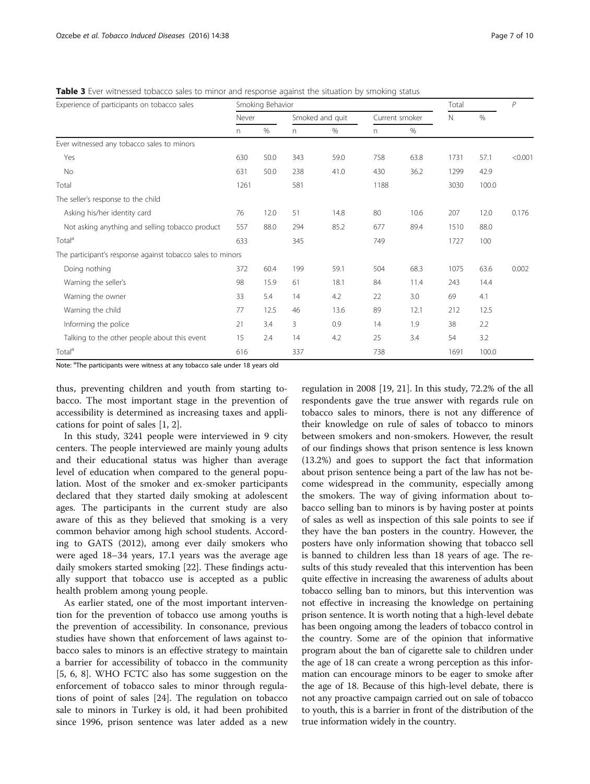<span id="page-6-0"></span>Table 3 Ever witnessed tobacco sales to minor and response against the situation by smoking status

| Experience of participants on tobacco sales                | Smoking Behavior |      |                 |      |                |      | Total       |       | $\overline{P}$ |
|------------------------------------------------------------|------------------|------|-----------------|------|----------------|------|-------------|-------|----------------|
|                                                            | Never            |      | Smoked and quit |      | Current smoker |      | $\mathbb N$ | %     |                |
|                                                            | n                | $\%$ | n               | %    | n              | %    |             |       |                |
| Ever witnessed any tobacco sales to minors                 |                  |      |                 |      |                |      |             |       |                |
| Yes                                                        | 630              | 50.0 | 343             | 59.0 | 758            | 63.8 | 1731        | 57.1  | < 0.001        |
| No                                                         | 631              | 50.0 | 238             | 41.0 | 430            | 36.2 | 1299        | 42.9  |                |
| Total                                                      | 1261             |      | 581             |      | 1188           |      | 3030        | 100.0 |                |
| The seller's response to the child                         |                  |      |                 |      |                |      |             |       |                |
| Asking his/her identity card                               | 76               | 12.0 | 51              | 14.8 | 80             | 10.6 | 207         | 12.0  | 0.176          |
| Not asking anything and selling tobacco product            | 557              | 88.0 | 294             | 85.2 | 677            | 89.4 | 1510        | 88.0  |                |
| Total <sup>a</sup>                                         | 633              |      | 345             |      | 749            |      | 1727        | 100   |                |
| The participant's response against tobacco sales to minors |                  |      |                 |      |                |      |             |       |                |
| Doing nothing                                              | 372              | 60.4 | 199             | 59.1 | 504            | 68.3 | 1075        | 63.6  | 0.002          |
| Warning the seller's                                       | 98               | 15.9 | 61              | 18.1 | 84             | 11.4 | 243         | 14.4  |                |
| Warning the owner                                          | 33               | 5.4  | 14              | 4.2  | 22             | 3.0  | 69          | 4.1   |                |
| Warning the child                                          | 77               | 12.5 | 46              | 13.6 | 89             | 12.1 | 212         | 12.5  |                |
| Informing the police                                       | 21               | 3.4  | 3               | 0.9  | 14             | 1.9  | 38          | 2.2   |                |
| Talking to the other people about this event               | 15               | 2.4  | 14              | 4.2  | 25             | 3.4  | 54          | 3.2   |                |
| Total <sup>a</sup>                                         | 616              |      | 337             |      | 738            |      | 1691        | 100.0 |                |

Note: <sup>a</sup>The participants were witness at any tobacco sale under 18 years old

thus, preventing children and youth from starting tobacco. The most important stage in the prevention of accessibility is determined as increasing taxes and applications for point of sales [\[1](#page-9-0), [2](#page-9-0)].

In this study, 3241 people were interviewed in 9 city centers. The people interviewed are mainly young adults and their educational status was higher than average level of education when compared to the general population. Most of the smoker and ex-smoker participants declared that they started daily smoking at adolescent ages. The participants in the current study are also aware of this as they believed that smoking is a very common behavior among high school students. According to GATS (2012), among ever daily smokers who were aged 18–34 years, 17.1 years was the average age daily smokers started smoking [\[22\]](#page-9-0). These findings actually support that tobacco use is accepted as a public health problem among young people.

As earlier stated, one of the most important intervention for the prevention of tobacco use among youths is the prevention of accessibility. In consonance, previous studies have shown that enforcement of laws against tobacco sales to minors is an effective strategy to maintain a barrier for accessibility of tobacco in the community [[5, 6, 8\]](#page-9-0). WHO FCTC also has some suggestion on the enforcement of tobacco sales to minor through regulations of point of sales [\[24\]](#page-9-0). The regulation on tobacco sale to minors in Turkey is old, it had been prohibited since 1996, prison sentence was later added as a new

regulation in 2008 [[19, 21\]](#page-9-0). In this study, 72.2% of the all respondents gave the true answer with regards rule on tobacco sales to minors, there is not any difference of their knowledge on rule of sales of tobacco to minors between smokers and non-smokers. However, the result of our findings shows that prison sentence is less known (13.2%) and goes to support the fact that information about prison sentence being a part of the law has not become widespread in the community, especially among the smokers. The way of giving information about tobacco selling ban to minors is by having poster at points of sales as well as inspection of this sale points to see if they have the ban posters in the country. However, the posters have only information showing that tobacco sell is banned to children less than 18 years of age. The results of this study revealed that this intervention has been quite effective in increasing the awareness of adults about tobacco selling ban to minors, but this intervention was not effective in increasing the knowledge on pertaining prison sentence. It is worth noting that a high-level debate has been ongoing among the leaders of tobacco control in the country. Some are of the opinion that informative program about the ban of cigarette sale to children under the age of 18 can create a wrong perception as this information can encourage minors to be eager to smoke after the age of 18. Because of this high-level debate, there is not any proactive campaign carried out on sale of tobacco to youth, this is a barrier in front of the distribution of the true information widely in the country.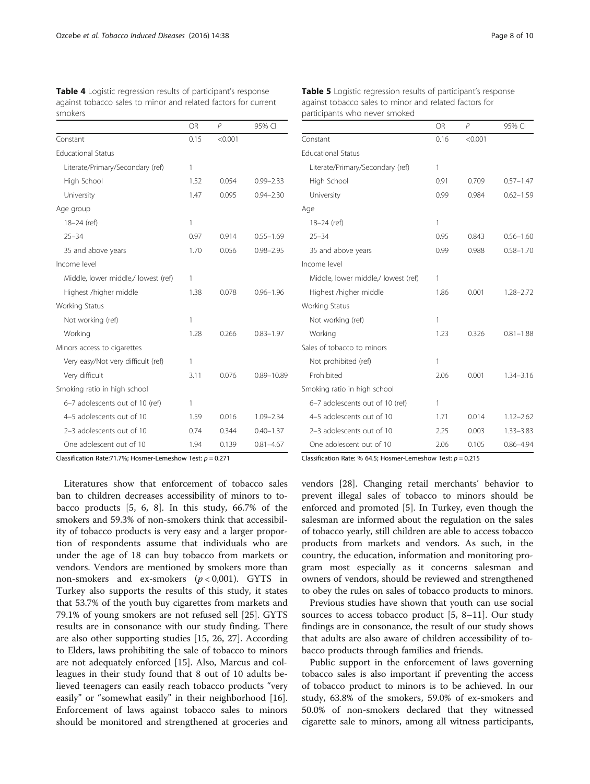|                                     | OR   | $\mathsf{P}$ | 95% CI        |
|-------------------------------------|------|--------------|---------------|
| Constant                            | 0.15 | < 0.001      |               |
| <b>Educational Status</b>           |      |              |               |
| Literate/Primary/Secondary (ref)    | 1    |              |               |
| High School                         | 1.52 | 0.054        | $0.99 - 2.33$ |
| University                          | 1.47 | 0.095        | $0.94 - 2.30$ |
| Age group                           |      |              |               |
| 18-24 (ref)                         | 1    |              |               |
| $25 - 34$                           | 0.97 | 0.914        | $0.55 - 1.69$ |
| 35 and above years                  | 1.70 | 0.056        | $0.98 - 2.95$ |
| Income level                        |      |              |               |
| Middle, lower middle,/ lowest (ref) | 1    |              |               |
| Highest /higher middle              | 1.38 | 0.078        | $0.96 - 1.96$ |
| Working Status                      |      |              |               |
| Not working (ref)                   | 1    |              |               |
| Working                             | 1.28 | 0.266        | $0.83 - 1.97$ |
| Minors access to cigarettes         |      |              |               |
| Very easy/Not very difficult (ref)  | 1    |              |               |
| Very difficult                      | 3.11 | 0.076        | 0.89-10.89    |
| Smoking ratio in high school        |      |              |               |
| 6-7 adolescents out of 10 (ref)     | 1    |              |               |
| 4-5 adolescents out of 10           | 1.59 | 0.016        | $1.09 - 2.34$ |
| 2-3 adolescents out of 10           | 0.74 | 0.344        | $0.40 - 1.37$ |
| One adolescent out of 10            | 1.94 | 0.139        | $0.81 - 4.67$ |

<span id="page-7-0"></span>Table 4 Logistic regression results of participant's response against tobacco sales to minor and related factors for current smokers

Classification Rate:71.7%; Hosmer-Lemeshow Test:  $p = 0.271$ 

Literatures show that enforcement of tobacco sales ban to children decreases accessibility of minors to tobacco products [\[5](#page-9-0), [6, 8](#page-9-0)]. In this study, 66.7% of the smokers and 59.3% of non-smokers think that accessibility of tobacco products is very easy and a larger proportion of respondents assume that individuals who are under the age of 18 can buy tobacco from markets or vendors. Vendors are mentioned by smokers more than non-smokers and ex-smokers  $(p < 0,001)$ . GYTS in Turkey also supports the results of this study, it states that 53.7% of the youth buy cigarettes from markets and 79.1% of young smokers are not refused sell [[25\]](#page-9-0). GYTS results are in consonance with our study finding. There are also other supporting studies [\[15, 26](#page-9-0), [27\]](#page-9-0). According to Elders, laws prohibiting the sale of tobacco to minors are not adequately enforced [\[15](#page-9-0)]. Also, Marcus and colleagues in their study found that 8 out of 10 adults believed teenagers can easily reach tobacco products "very easily" or "somewhat easily" in their neighborhood [\[16](#page-9-0)]. Enforcement of laws against tobacco sales to minors should be monitored and strengthened at groceries and Table 5 Logistic regression results of participant's response against tobacco sales to minor and related factors for participants who never smoked

|                                     | <b>OR</b> | $\overline{P}$ | 95% CI        |
|-------------------------------------|-----------|----------------|---------------|
| Constant                            | 0.16      | < 0.001        |               |
| <b>Educational Status</b>           |           |                |               |
| Literate/Primary/Secondary (ref)    | 1         |                |               |
| High School                         | 0.91      | 0.709          | $0.57 - 1.47$ |
| University                          | 0.99      | 0.984          | $0.62 - 1.59$ |
| Age                                 |           |                |               |
| 18-24 (ref)                         | 1         |                |               |
| $25 - 34$                           | 0.95      | 0.843          | $0.56 - 1.60$ |
| 35 and above years                  | 0.99      | 0.988          | $0.58 - 1.70$ |
| Income level                        |           |                |               |
| Middle, lower middle,/ lowest (ref) | 1         |                |               |
| Highest /higher middle              | 1.86      | 0.001          | $1.28 - 2.72$ |
| Working Status                      |           |                |               |
| Not working (ref)                   | 1         |                |               |
| Working                             | 1.23      | 0.326          | $0.81 - 1.88$ |
| Sales of tobacco to minors          |           |                |               |
| Not prohibited (ref)                | 1         |                |               |
| Prohibited                          | 2.06      | 0.001          | $1.34 - 3.16$ |
| Smoking ratio in high school        |           |                |               |
| 6-7 adolescents out of 10 (ref)     | 1         |                |               |
| 4-5 adolescents out of 10           | 1.71      | 0.014          | $1.12 - 2.62$ |
| 2-3 adolescents out of 10           | 2.25      | 0.003          | $1.33 - 3.83$ |
| One adolescent out of 10            | 2.06      | 0.105          | $0.86 - 4.94$ |

Classification Rate: % 64.5; Hosmer-Lemeshow Test:  $p = 0.215$ 

vendors [[28\]](#page-9-0). Changing retail merchants' behavior to prevent illegal sales of tobacco to minors should be enforced and promoted [\[5](#page-9-0)]. In Turkey, even though the salesman are informed about the regulation on the sales of tobacco yearly, still children are able to access tobacco products from markets and vendors. As such, in the country, the education, information and monitoring program most especially as it concerns salesman and owners of vendors, should be reviewed and strengthened to obey the rules on sales of tobacco products to minors.

Previous studies have shown that youth can use social sources to access tobacco product [\[5](#page-9-0), [8](#page-9-0)–[11\]](#page-9-0). Our study findings are in consonance, the result of our study shows that adults are also aware of children accessibility of tobacco products through families and friends.

Public support in the enforcement of laws governing tobacco sales is also important if preventing the access of tobacco product to minors is to be achieved. In our study, 63.8% of the smokers, 59.0% of ex-smokers and 50.0% of non-smokers declared that they witnessed cigarette sale to minors, among all witness participants,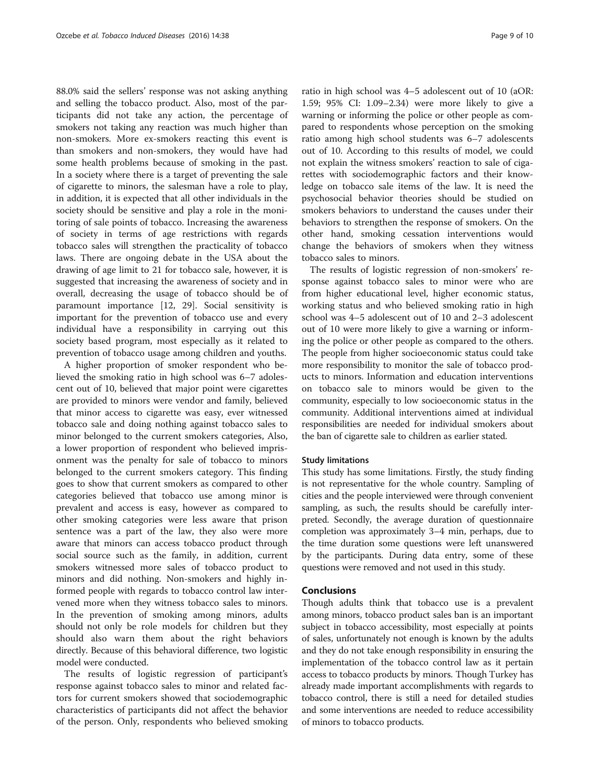88.0% said the sellers' response was not asking anything and selling the tobacco product. Also, most of the participants did not take any action, the percentage of smokers not taking any reaction was much higher than non-smokers. More ex-smokers reacting this event is than smokers and non-smokers, they would have had some health problems because of smoking in the past. In a society where there is a target of preventing the sale of cigarette to minors, the salesman have a role to play, in addition, it is expected that all other individuals in the society should be sensitive and play a role in the monitoring of sale points of tobacco. Increasing the awareness of society in terms of age restrictions with regards tobacco sales will strengthen the practicality of tobacco laws. There are ongoing debate in the USA about the drawing of age limit to 21 for tobacco sale, however, it is suggested that increasing the awareness of society and in overall, decreasing the usage of tobacco should be of paramount importance [\[12, 29\]](#page-9-0). Social sensitivity is important for the prevention of tobacco use and every individual have a responsibility in carrying out this society based program, most especially as it related to prevention of tobacco usage among children and youths.

A higher proportion of smoker respondent who believed the smoking ratio in high school was 6–7 adolescent out of 10, believed that major point were cigarettes are provided to minors were vendor and family, believed that minor access to cigarette was easy, ever witnessed tobacco sale and doing nothing against tobacco sales to minor belonged to the current smokers categories, Also, a lower proportion of respondent who believed imprisonment was the penalty for sale of tobacco to minors belonged to the current smokers category. This finding goes to show that current smokers as compared to other categories believed that tobacco use among minor is prevalent and access is easy, however as compared to other smoking categories were less aware that prison sentence was a part of the law, they also were more aware that minors can access tobacco product through social source such as the family, in addition, current smokers witnessed more sales of tobacco product to minors and did nothing. Non-smokers and highly informed people with regards to tobacco control law intervened more when they witness tobacco sales to minors. In the prevention of smoking among minors, adults should not only be role models for children but they should also warn them about the right behaviors directly. Because of this behavioral difference, two logistic model were conducted.

The results of logistic regression of participant's response against tobacco sales to minor and related factors for current smokers showed that sociodemographic characteristics of participants did not affect the behavior of the person. Only, respondents who believed smoking

ratio in high school was 4–5 adolescent out of 10 (aOR: 1.59; 95% CI: 1.09–2.34) were more likely to give a warning or informing the police or other people as compared to respondents whose perception on the smoking ratio among high school students was 6–7 adolescents out of 10. According to this results of model, we could not explain the witness smokers' reaction to sale of cigarettes with sociodemographic factors and their knowledge on tobacco sale items of the law. It is need the psychosocial behavior theories should be studied on smokers behaviors to understand the causes under their behaviors to strengthen the response of smokers. On the other hand, smoking cessation interventions would change the behaviors of smokers when they witness tobacco sales to minors.

The results of logistic regression of non-smokers' response against tobacco sales to minor were who are from higher educational level, higher economic status, working status and who believed smoking ratio in high school was 4–5 adolescent out of 10 and 2–3 adolescent out of 10 were more likely to give a warning or informing the police or other people as compared to the others. The people from higher socioeconomic status could take more responsibility to monitor the sale of tobacco products to minors. Information and education interventions on tobacco sale to minors would be given to the community, especially to low socioeconomic status in the community. Additional interventions aimed at individual responsibilities are needed for individual smokers about the ban of cigarette sale to children as earlier stated.

#### Study limitations

This study has some limitations. Firstly, the study finding is not representative for the whole country. Sampling of cities and the people interviewed were through convenient sampling, as such, the results should be carefully interpreted. Secondly, the average duration of questionnaire completion was approximately 3–4 min, perhaps, due to the time duration some questions were left unanswered by the participants. During data entry, some of these questions were removed and not used in this study.

#### **Conclusions**

Though adults think that tobacco use is a prevalent among minors, tobacco product sales ban is an important subject in tobacco accessibility, most especially at points of sales, unfortunately not enough is known by the adults and they do not take enough responsibility in ensuring the implementation of the tobacco control law as it pertain access to tobacco products by minors. Though Turkey has already made important accomplishments with regards to tobacco control, there is still a need for detailed studies and some interventions are needed to reduce accessibility of minors to tobacco products.